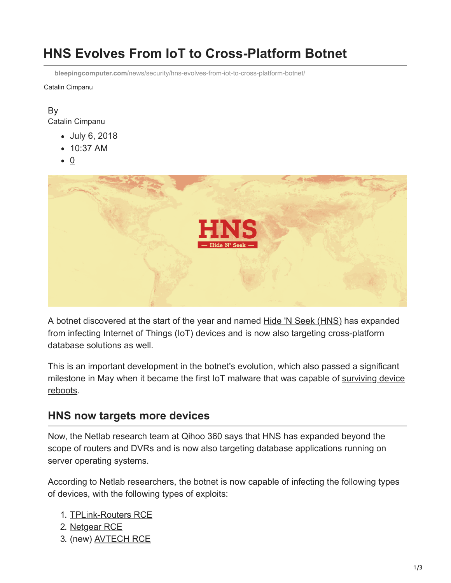# **HNS Evolves From IoT to Cross-Platform Botnet**

**bleepingcomputer.com**[/news/security/hns-evolves-from-iot-to-cross-platform-botnet/](https://www.bleepingcomputer.com/news/security/hns-evolves-from-iot-to-cross-platform-botnet/)

Catalin Cimpanu

#### By [Catalin Cimpanu](https://www.bleepingcomputer.com/author/catalin-cimpanu/)

- July 6, 2018
- 10:37 AM
- 0



A botnet discovered at the start of the year and named [Hide 'N Seek \(HNS\)](https://www.bleepingcomputer.com/news/security/new-hns-iot-botnet-has-already-amassed-14k-bots/) has expanded from infecting Internet of Things (IoT) devices and is now also targeting cross-platform database solutions as well.

This is an important development in the botnet's evolution, which also passed a significant [milestone in May when it became the first IoT malware that was capable of surviving device](https://www.bleepingcomputer.com/news/security/hide-and-seek-becomes-first-iot-botnet-capable-of-surviving-device-reboots/) reboots.

## **HNS now targets more devices**

Now, the Netlab research team at Qihoo 360 says that HNS has expanded beyond the scope of routers and DVRs and is now also targeting database applications running on server operating systems.

According to Netlab researchers, the botnet is now capable of infecting the following types of devices, with the following types of exploits:

- 1. [TPLink-Routers RCE](https://sekurak.pl/tp-link-httptftp-backdoor/)
- 2. [Netgear RCE](https://www.exploit-db.com/exploits/43055/)
- 3. (new) [AVTECH RCE](https://www.exploit-db.com/exploits/40500/)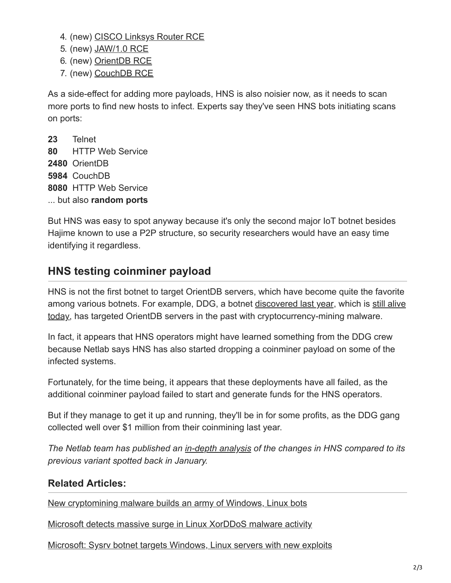- 4. (new) [CISCO Linksys Router RCE](https://vuldb.com/?id.12362)
- 5. (new) [JAW/1.0 RCE](https://www.pentestpartners.com/security-blog/pwning-cctv-cameras/)
- 6. (new) [OrientDB RCE](https://www.exploit-db.com/exploits/42965/)
- 7. (new) [CouchDB RCE](https://www.exploit-db.com/exploits/44913/)

As a side-effect for adding more payloads, HNS is also noisier now, as it needs to scan more ports to find new hosts to infect. Experts say they've seen HNS bots initiating scans on ports:

**23** Telnet **80** HTTP Web Service **2480** OrientDB **5984** CouchDB **8080** HTTP Web Service ... but also **random ports**

But HNS was easy to spot anyway because it's only the second major IoT botnet besides Hajime known to use a P2P structure, so security researchers would have an easy time identifying it regardless.

## **HNS testing coinminer payload**

HNS is not the first botnet to target OrientDB servers, which have become quite the favorite [among various botnets. For example, DDG, a botnet discovered last year, which is still alive](http://blog.netlab.360.com/old-botnets-never-die-and-ddg-refuse-to-fade-away-en/) today, has targeted OrientDB servers in the past with cryptocurrency-mining malware.

In fact, it appears that HNS operators might have learned something from the DDG crew because Netlab says HNS has also started dropping a coinminer payload on some of the infected systems.

Fortunately, for the time being, it appears that these deployments have all failed, as the additional coinminer payload failed to start and generate funds for the HNS operators.

But if they manage to get it up and running, they'll be in for some profits, as the DDG gang collected well over \$1 million from their coinmining last year.

*The Netlab team has published an [in-depth analysis](http://blog.netlab.360.com/hns-botnet-recent-activities-en/) of the changes in HNS compared to its previous variant spotted back in January.*

## **Related Articles:**

[New cryptomining malware builds an army of Windows, Linux bots](https://www.bleepingcomputer.com/news/security/new-cryptomining-malware-builds-an-army-of-windows-linux-bots/)

[Microsoft detects massive surge in Linux XorDDoS malware activity](https://www.bleepingcomputer.com/news/security/microsoft-detects-massive-surge-in-linux-xorddos-malware-activity/)

[Microsoft: Sysrv botnet targets Windows, Linux servers with new exploits](https://www.bleepingcomputer.com/news/security/microsoft-sysrv-botnet-targets-windows-linux-servers-with-new-exploits/)